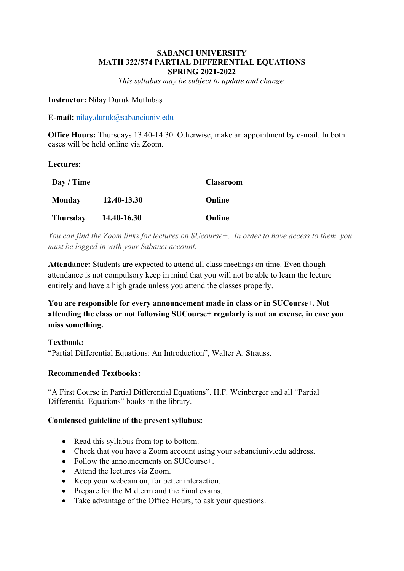#### **SABANCI UNIVERSITY MATH 322/574 PARTIAL DIFFERENTIAL EQUATIONS SPRING 2021-2022**

*This syllabus may be subject to update and change.*

#### **Instructor:** Nilay Duruk Mutlubaş

**E-mail:** [nilay.duruk@s](mailto:nilay.duruk@)abanciuniv.edu

**Office Hours:** Thursdays 13.40-14.30. Otherwise, make an appointment by e-mail. In both cases will be held online via Zoom.

**Lectures:** 

| Day / Time      |             | <b>Classroom</b> |
|-----------------|-------------|------------------|
| Monday          | 12.40-13.30 | Online           |
| <b>Thursday</b> | 14.40-16.30 | Online           |

*You can find the Zoom links for lectures on SUcourse+. In order to have access to them, you must be logged in with your Sabancı account.* 

**Attendance:** Students are expected to attend all class meetings on time. Even though attendance is not compulsory keep in mind that you will not be able to learn the lecture entirely and have a high grade unless you attend the classes properly.

**You are responsible for every announcement made in class or in SUCourse+. Not attending the class or not following SUCourse+ regularly is not an excuse, in case you miss something.**

## **Textbook:**

"Partial Differential Equations: An Introduction", Walter A. Strauss.

## **Recommended Textbooks:**

"A First Course in Partial Differential Equations", H.F. Weinberger and all "Partial Differential Equations" books in the library.

#### **Condensed guideline of the present syllabus:**

- Read this syllabus from top to bottom.
- Check that you have a Zoom account using your sabanciuniv.edu address.
- Follow the announcements on SUCourse+.
- Attend the lectures via Zoom.
- Keep your webcam on, for better interaction.
- Prepare for the Midterm and the Final exams.
- Take advantage of the Office Hours, to ask your questions.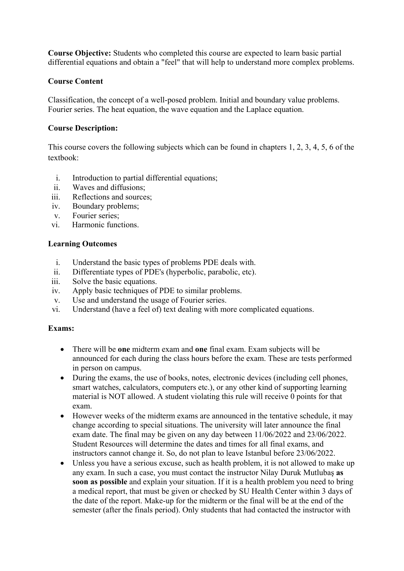**Course Objective:** Students who completed this course are expected to learn basic partial differential equations and obtain a "feel" that will help to understand more complex problems.

## **Course Content**

Classification, the concept of a well-posed problem. Initial and boundary value problems. Fourier series. The heat equation, the wave equation and the Laplace equation.

## **Course Description:**

This course covers the following subjects which can be found in chapters 1, 2, 3, 4, 5, 6 of the textbook:

- i. Introduction to partial differential equations;
- ii. Waves and diffusions;
- iii. Reflections and sources;
- iv. Boundary problems;
- v. Fourier series;
- vi. Harmonic functions.

# **Learning Outcomes**

- i. Understand the basic types of problems PDE deals with.
- ii. Differentiate types of PDE's (hyperbolic, parabolic, etc).
- iii. Solve the basic equations.
- iv. Apply basic techniques of PDE to similar problems.
- v. Use and understand the usage of Fourier series.
- vi. Understand (have a feel of) text dealing with more complicated equations.

## **Exams:**

- There will be **one** midterm exam and **one** final exam. Exam subjects will be announced for each during the class hours before the exam. These are tests performed in person on campus.
- During the exams, the use of books, notes, electronic devices (including cell phones, smart watches, calculators, computers etc.), or any other kind of supporting learning material is NOT allowed. A student violating this rule will receive 0 points for that exam.
- However weeks of the midterm exams are announced in the tentative schedule, it may change according to special situations. The university will later announce the final exam date. The final may be given on any day between 11/06/2022 and 23/06/2022. Student Resources will determine the dates and times for all final exams, and instructors cannot change it. So, do not plan to leave Istanbul before 23/06/2022.
- Unless you have a serious excuse, such as health problem, it is not allowed to make up any exam. In such a case, you must contact the instructor Nilay Duruk Mutlubaş **as soon as possible** and explain your situation. If it is a health problem you need to bring a medical report, that must be given or checked by SU Health Center within 3 days of the date of the report. Make-up for the midterm or the final will be at the end of the semester (after the finals period). Only students that had contacted the instructor with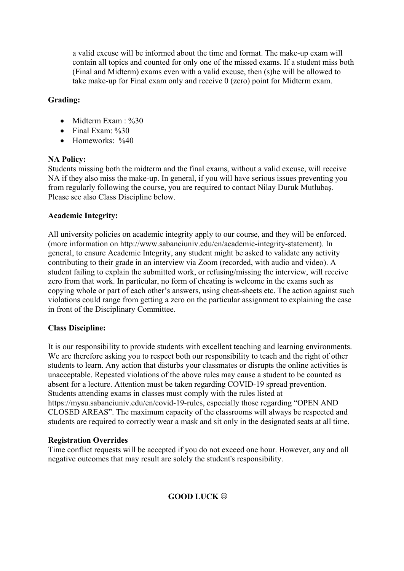a valid excuse will be informed about the time and format. The make-up exam will contain all topics and counted for only one of the missed exams. If a student miss both (Final and Midterm) exams even with a valid excuse, then (s)he will be allowed to take make-up for Final exam only and receive 0 (zero) point for Midterm exam.

## **Grading:**

- Midterm Exam : %30
- Final Exam: %30
- Homeworks: %40

#### **NA Policy:**

Students missing both the midterm and the final exams, without a valid excuse, will receive NA if they also miss the make-up. In general, if you will have serious issues preventing you from regularly following the course, you are required to contact Nilay Duruk Mutlubaş. Please see also Class Discipline below.

#### **Academic Integrity:**

All university policies on academic integrity apply to our course, and they will be enforced. (more information on http://www.sabanciuniv.edu/en/academic-integrity-statement). In general, to ensure Academic Integrity, any student might be asked to validate any activity contributing to their grade in an interview via Zoom (recorded, with audio and video). A student failing to explain the submitted work, or refusing/missing the interview, will receive zero from that work. In particular, no form of cheating is welcome in the exams such as copying whole or part of each other's answers, using cheat-sheets etc. The action against such violations could range from getting a zero on the particular assignment to explaining the case in front of the Disciplinary Committee.

## **Class Discipline:**

It is our responsibility to provide students with excellent teaching and learning environments. We are therefore asking you to respect both our responsibility to teach and the right of other students to learn. Any action that disturbs your classmates or disrupts the online activities is unacceptable. Repeated violations of the above rules may cause a student to be counted as absent for a lecture. Attention must be taken regarding COVID-19 spread prevention. Students attending exams in classes must comply with the rules listed at https://mysu.sabanciuniv.edu/en/covid-19-rules, especially those regarding "OPEN AND CLOSED AREAS". The maximum capacity of the classrooms will always be respected and students are required to correctly wear a mask and sit only in the designated seats at all time.

#### **Registration Overrides**

Time conflict requests will be accepted if you do not exceed one hour. However, any and all negative outcomes that may result are solely the student's responsibility.

## **GOOD LUCK**